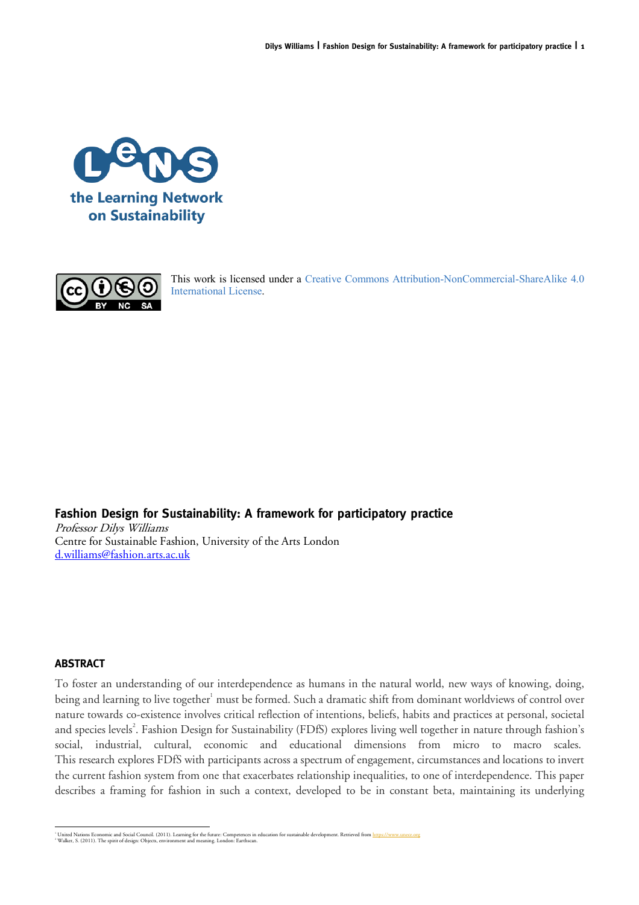



This work is licensed under a Creative Commons Attribution-NonCommercial-ShareAlike 4.0 International License.

# **Fashion Design for Sustainability: A framework for participatory practice**

Professor Dilys Williams Centre for Sustainable Fashion, University of the Arts London d.williams@fashion.arts.ac.uk

## **ABSTRACT**

To foster an understanding of our interdependence as humans in the natural world, new ways of knowing, doing, being and learning to live together<sup>1</sup> must be formed. Such a dramatic shift from dominant worldviews of control over nature towards co-existence involves critical reflection of intentions, beliefs, habits and practices at personal, societal and species levels<sup>2</sup>. Fashion Design for Sustainability (FDfS) explores living well together in nature through fashion's social, industrial, cultural, economic and educational dimensions from micro to macro scales. This research explores FDfS with participants across a spectrum of engagement, circumstances and locations to invert the current fashion system from one that exacerbates relationship inequalities, to one of interdependence. This paper describes a framing for fashion in such a context, developed to be in constant beta, maintaining its underlying

<sup>&</sup>lt;sup>1</sup> United Nations Economic and Social Council. (2011). Learning for the future: Competences in education for sustainable development. Retrieved from <u>https://www.unece.org</u><br><sup>2</sup> Walker, S. (2011). The spirit of design: Obj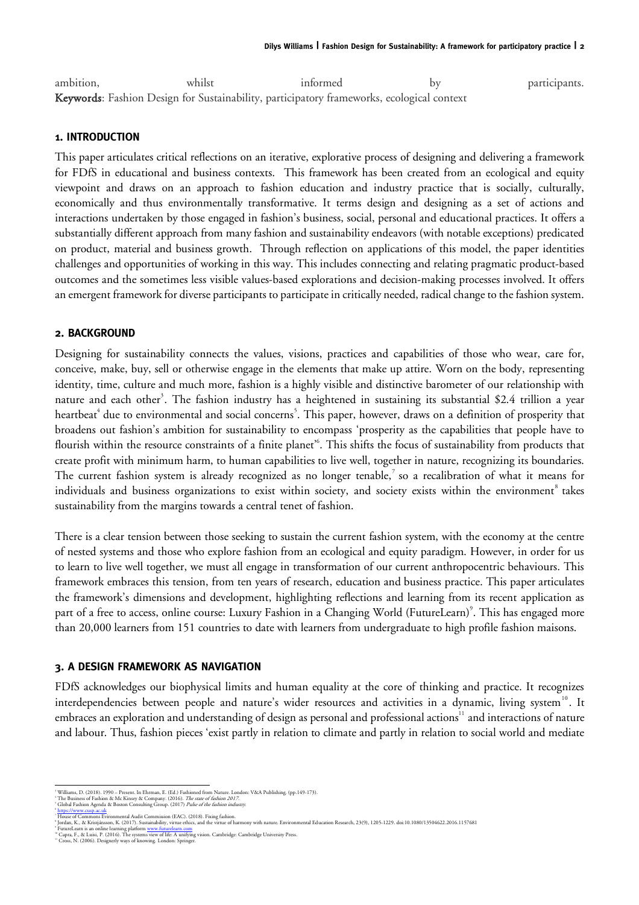| ambition, | whilst                                                                                    | informed | hv | participants. |
|-----------|-------------------------------------------------------------------------------------------|----------|----|---------------|
|           | Keywords: Fashion Design for Sustainability, participatory frameworks, ecological context |          |    |               |

### **1. INTRODUCTION**

This paper articulates critical reflections on an iterative, explorative process of designing and delivering a framework for FDfS in educational and business contexts. This framework has been created from an ecological and equity viewpoint and draws on an approach to fashion education and industry practice that is socially, culturally, economically and thus environmentally transformative. It terms design and designing as a set of actions and interactions undertaken by those engaged in fashion's business, social, personal and educational practices. It offers a substantially different approach from many fashion and sustainability endeavors (with notable exceptions) predicated on product, material and business growth. Through reflection on applications of this model, the paper identities challenges and opportunities of working in this way. This includes connecting and relating pragmatic product-based outcomes and the sometimes less visible values-based explorations and decision-making processes involved. It offers an emergent framework for diverse participants to participate in critically needed, radical change to the fashion system.

## **2. BACKGROUND**

Designing for sustainability connects the values, visions, practices and capabilities of those who wear, care for, conceive, make, buy, sell or otherwise engage in the elements that make up attire. Worn on the body, representing identity, time, culture and much more, fashion is a highly visible and distinctive barometer of our relationship with nature and each other<sup>3</sup>. The fashion industry has a heightened in sustaining its substantial \$2.4 trillion a year heartbeat $^4$  due to environmental and social concerns $^5.$  This paper, however, draws on a definition of prosperity that broadens out fashion's ambition for sustainability to encompass 'prosperity as the capabilities that people have to flourish within the resource constraints of a finite planet<sup>56</sup>. This shifts the focus of sustainability from products that create profit with minimum harm, to human capabilities to live well, together in nature, recognizing its boundaries. The current fashion system is already recognized as no longer tenable,<sup>7</sup> so a recalibration of what it means for individuals and business organizations to exist within society, and society exists within the environment<sup>8</sup> takes sustainability from the margins towards a central tenet of fashion.

There is a clear tension between those seeking to sustain the current fashion system, with the economy at the centre of nested systems and those who explore fashion from an ecological and equity paradigm. However, in order for us to learn to live well together, we must all engage in transformation of our current anthropocentric behaviours. This framework embraces this tension, from ten years of research, education and business practice. This paper articulates the framework's dimensions and development, highlighting reflections and learning from its recent application as part of a free to access, online course: Luxury Fashion in a Changing World (FutureLearn)<sup>9</sup>. This has engaged more than 20,000 learners from 151 countries to date with learners from undergraduate to high profile fashion maisons.

## **3. A DESIGN FRAMEWORK AS NAVIGATION**

FDfS acknowledges our biophysical limits and human equality at the core of thinking and practice. It recognizes interdependencies between people and nature's wider resources and activities in a dynamic, living system<sup>10</sup>. It embraces an exploration and understanding of design as personal and professional actions<sup>11</sup> and interactions of nature and labour. Thus, fashion pieces 'exist partly in relation to climate and partly in relation to social world and mediate

- 
- 

<sup>&</sup>lt;sup>2</sup> Williams, D. (2018). 1990 – Present. In Ehrman, E. (Ed.) Fashioned from Nature. London: V&A Publishing. (pp.149-173).<br><sup>1</sup> The Business of Fashion & Mc Kinsey & Company. (2016). *The state of fashion 2017.*<br><sup>7</sup> Global F

<sup>&</sup>lt;sup>4</sup> https://www.cusp.ac.uk<br>' House of Commons Evironmental Audit Commission (EAC). (2018). Fixing fashion.<br>' Jordan, K., & Kristjánsson, K. (2017). Sustainability, virtue ethics, and the virtue of harmony with nature. Envi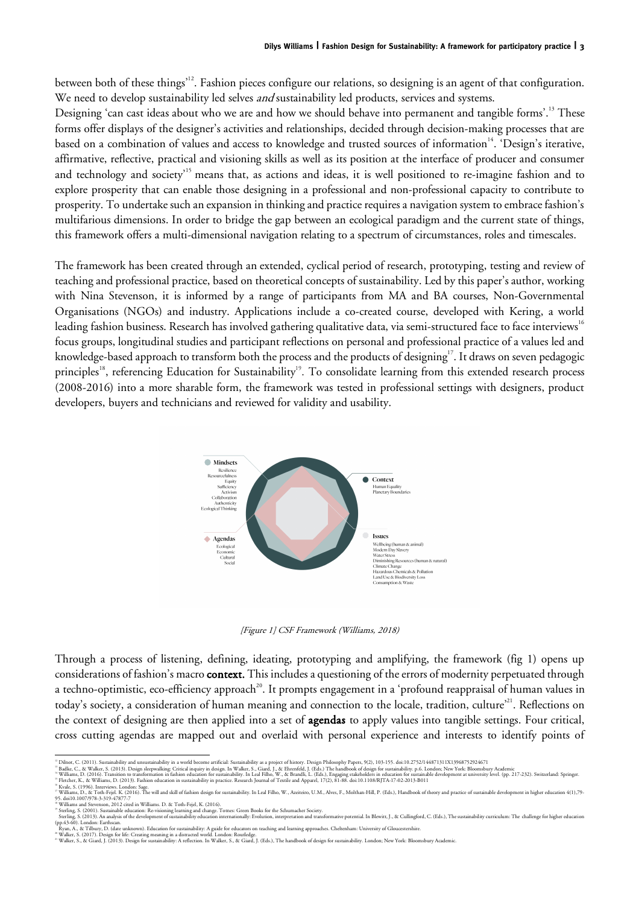between both of these things<sup>12</sup>. Fashion pieces configure our relations, so designing is an agent of that configuration. We need to develop sustainability led selves *and* sustainability led products, services and systems.

Designing 'can cast ideas about who we are and how we should behave into permanent and tangible forms'.<sup>13</sup> These forms offer displays of the designer's activities and relationships, decided through decision-making processes that are based on a combination of values and access to knowledge and trusted sources of information<sup>14</sup>. 'Design's iterative, affirmative, reflective, practical and visioning skills as well as its position at the interface of producer and consumer and technology and society<sup>15</sup> means that, as actions and ideas, it is well positioned to re-imagine fashion and to explore prosperity that can enable those designing in a professional and non-professional capacity to contribute to prosperity. To undertake such an expansion in thinking and practice requires a navigation system to embrace fashion's multifarious dimensions. In order to bridge the gap between an ecological paradigm and the current state of things, this framework offers a multi-dimensional navigation relating to a spectrum of circumstances, roles and timescales.

The framework has been created through an extended, cyclical period of research, prototyping, testing and review of teaching and professional practice, based on theoretical concepts of sustainability. Led by this paper's author, working with Nina Stevenson, it is informed by a range of participants from MA and BA courses, Non-Governmental Organisations (NGOs) and industry. Applications include a co-created course, developed with Kering, a world leading fashion business. Research has involved gathering qualitative data, via semi-structured face to face interviews<sup>16</sup> focus groups, longitudinal studies and participant reflections on personal and professional practice of a values led and knowledge-based approach to transform both the process and the products of designing<sup>17</sup>. It draws on seven pedagogic principles<sup>18</sup>, referencing Education for Sustainability<sup>19</sup>. To consolidate learning from this extended research process (2008-2016) into a more sharable form, the framework was tested in professional settings with designers, product developers, buyers and technicians and reviewed for validity and usability.



[Figure 1] CSF Framework (Williams, 2018)

Through a process of listening, defining, ideating, prototyping and amplifying, the framework (fig 1) opens up considerations of fashion's macro **context**. This includes a questioning of the errors of modernity perpetuated through a techno-optimistic, eco-efficiency approach<sup>20</sup>. It prompts engagement in a 'profound reappraisal of human values in today's society, a consideration of human meaning and connection to the locale, tradition, culture'<sup>21</sup>. Reflections on the context of designing are then applied into a set of agendas to apply values into tangible settings. Four critical, cross cutting agendas are mapped out and overlaid with personal experience and interests to identify points of

<sup>&</sup>quot; Dilnot, C. (2011). Sustainability and unsustainability in a world become artificial: Sustainability as a project of history. Design Philosophy Papers, 9(2), 103-155. doi:10.2752/144871311X13968752924671<br>" Badke, C., & Wa

<sup>&</sup>quot; Williams and Stevenson, 2012 cited in Williams. D. & Toth-Fejel, K. (2016).<br>" Sterling, S. (2001). Susainable education: Re-visioning learning and change. Totnes: Green Books for the Schumacher Society.<br>- Sterling, S. (2

<sup>–</sup> Ryan, A., & Tilbury, D. (date unknown). Education for sustainability: A guide for educators on teaching and learning approaches. Cheltenham: University of Gloucestershire.<br>\* Walker, S., & Giard). Design for sexusting in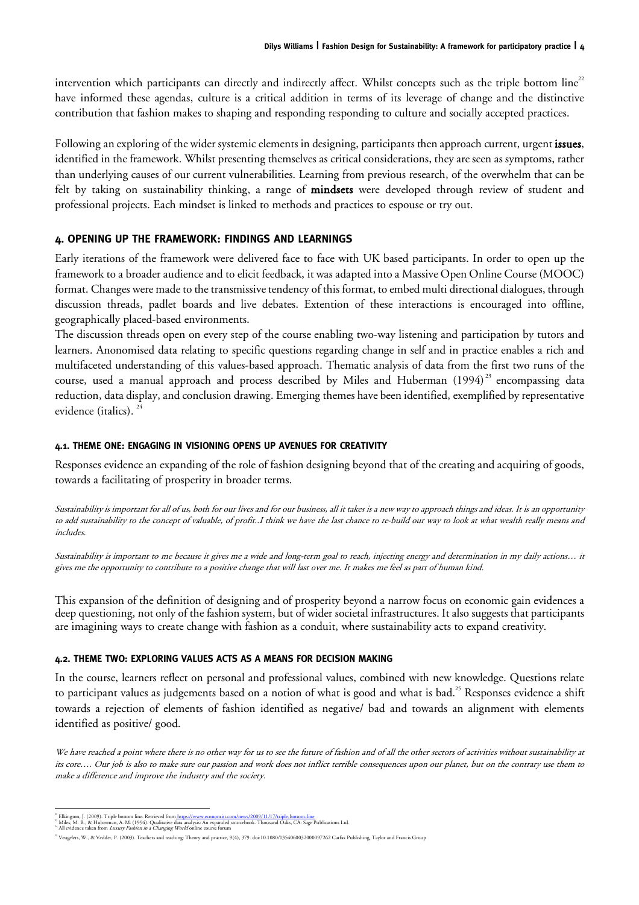intervention which participants can directly and indirectly affect. Whilst concepts such as the triple bottom line<sup>22</sup> have informed these agendas, culture is a critical addition in terms of its leverage of change and the distinctive contribution that fashion makes to shaping and responding responding to culture and socially accepted practices.

Following an exploring of the wider systemic elements in designing, participants then approach current, urgent issues, identified in the framework. Whilst presenting themselves as critical considerations, they are seen as symptoms, rather than underlying causes of our current vulnerabilities. Learning from previous research, of the overwhelm that can be felt by taking on sustainability thinking, a range of mindsets were developed through review of student and professional projects. Each mindset is linked to methods and practices to espouse or try out.

# **4. OPENING UP THE FRAMEWORK: FINDINGS AND LEARNINGS**

Early iterations of the framework were delivered face to face with UK based participants. In order to open up the framework to a broader audience and to elicit feedback, it was adapted into a Massive Open Online Course (MOOC) format. Changes were made to the transmissive tendency of this format, to embed multi directional dialogues, through discussion threads, padlet boards and live debates. Extention of these interactions is encouraged into offline, geographically placed-based environments.

The discussion threads open on every step of the course enabling two-way listening and participation by tutors and learners. Anonomised data relating to specific questions regarding change in self and in practice enables a rich and multifaceted understanding of this values-based approach. Thematic analysis of data from the first two runs of the course, used a manual approach and process described by Miles and Huberman (1994)<sup>23</sup> encompassing data reduction, data display, and conclusion drawing. Emerging themes have been identified, exemplified by representative evidence (italics). 24

### **4.1. THEME ONE: ENGAGING IN VISIONING OPENS UP AVENUES FOR CREATIVITY**

Responses evidence an expanding of the role of fashion designing beyond that of the creating and acquiring of goods, towards a facilitating of prosperity in broader terms.

Sustainability is important for all of us, both for our lives and for our business, all it takes is a new way to approach things and ideas. It is an opportunity to add sustainability to the concept of valuable, of profit..I think we have the last chance to re-build our way to look at what wealth really means and includes.

Sustainability is important to me because it gives me a wide and long-term goal to reach, injecting energy and determination in my daily actions… it gives me the opportunity to contribute to a positive change that will last over me. It makes me feel as part of human kind.

This expansion of the definition of designing and of prosperity beyond a narrow focus on economic gain evidences a deep questioning, not only of the fashion system, but of wider societal infrastructures. It also suggests that participants are imagining ways to create change with fashion as a conduit, where sustainability acts to expand creativity.

#### **4.2. THEME TWO: EXPLORING VALUES ACTS AS A MEANS FOR DECISION MAKING**

In the course, learners reflect on personal and professional values, combined with new knowledge. Questions relate to participant values as judgements based on a notion of what is good and what is bad. <sup>25</sup> Responses evidence a shift towards a rejection of elements of fashion identified as negative/ bad and towards an alignment with elements identified as positive/ good.

We have reached a point where there is no other way for us to see the future of fashion and of all the other sectors of activities without sustainability at its core…. Our job is also to make sure our passion and work does not inflict terrible consequences upon our planet, but on the contrary use them to make a difference and improve the industry and the society.

<sup>&</sup>lt;sup>22</sup> Elkington, J. (2009). Triple bottom line. Retrieved from <u>https://www.economist.com/news/2009/11/17/triple-bottom-line</u><br><sup>23</sup> Miles, M. B., & Huberman, A. M. (1994). Qualitative data analysis. An expanded sourcebook. T

<sup>25</sup> Veugelers, W., & Vedder, P. (2003). Teachers and teaching: Theory and practice, 9(4), 379. doi:10.1080/1354060032000097262 Carfax Publishing, Taylor and Francis Group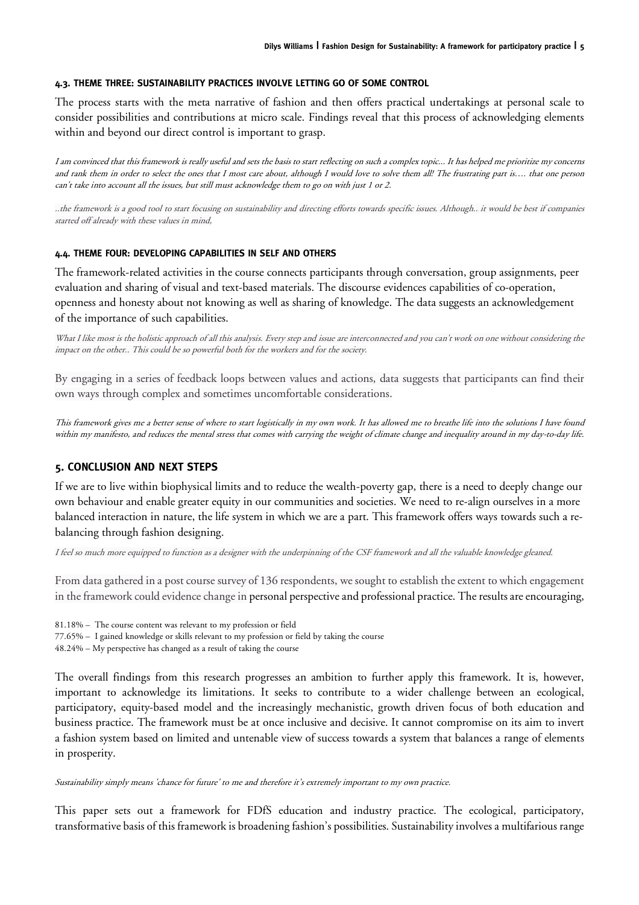#### **4.3. THEME THREE: SUSTAINABILITY PRACTICES INVOLVE LETTING GO OF SOME CONTROL**

The process starts with the meta narrative of fashion and then offers practical undertakings at personal scale to consider possibilities and contributions at micro scale. Findings reveal that this process of acknowledging elements within and beyond our direct control is important to grasp.

I am convinced that this framework is really useful and sets the basis to start reflecting on such a complex topic... It has helped me prioritize my concerns and rank them in order to select the ones that I most care about, although I would love to solve them all! The frustrating part is…. that one person can't take into account all the issues, but still must acknowledge them to go on with just 1 or 2.

..the framework is a good tool to start focusing on sustainability and directing efforts towards specific issues. Although.. it would be best if companies started off already with these values in mind,

### **4.4. THEME FOUR: DEVELOPING CAPABILITIES IN SELF AND OTHERS**

The framework-related activities in the course connects participants through conversation, group assignments, peer evaluation and sharing of visual and text-based materials. The discourse evidences capabilities of co-operation, openness and honesty about not knowing as well as sharing of knowledge. The data suggests an acknowledgement of the importance of such capabilities.

What I like most is the holistic approach of all this analysis. Every step and issue are interconnected and you can't work on one without considering the impact on the other.. This could be so powerful both for the workers and for the society.

By engaging in a series of feedback loops between values and actions, data suggests that participants can find their own ways through complex and sometimes uncomfortable considerations.

This framework gives me a better sense of where to start logistically in my own work. It has allowed me to breathe life into the solutions I have found within my manifesto, and reduces the mental stress that comes with carrying the weight of climate change and inequality around in my day-to-day life.

## **5. CONCLUSION AND NEXT STEPS**

If we are to live within biophysical limits and to reduce the wealth-poverty gap, there is a need to deeply change our own behaviour and enable greater equity in our communities and societies. We need to re-align ourselves in a more balanced interaction in nature, the life system in which we are a part. This framework offers ways towards such a rebalancing through fashion designing.

I feel so much more equipped to function as a designer with the underpinning of the CSF framework and all the valuable knowledge gleaned.

From data gathered in a post course survey of 136 respondents, we sought to establish the extent to which engagement in the framework could evidence change in personal perspective and professional practice. The results are encouraging,

81.18% – The course content was relevant to my profession or field

77.65% – I gained knowledge or skills relevant to my profession or field by taking the course

48.24% – My perspective has changed as a result of taking the course

The overall findings from this research progresses an ambition to further apply this framework. It is, however, important to acknowledge its limitations. It seeks to contribute to a wider challenge between an ecological, participatory, equity-based model and the increasingly mechanistic, growth driven focus of both education and business practice. The framework must be at once inclusive and decisive. It cannot compromise on its aim to invert a fashion system based on limited and untenable view of success towards a system that balances a range of elements in prosperity.

Sustainability simply means 'chance for future' to me and therefore it's extremely important to my own practice.

This paper sets out a framework for FDfS education and industry practice. The ecological, participatory, transformative basis of this framework is broadening fashion's possibilities. Sustainability involves a multifarious range